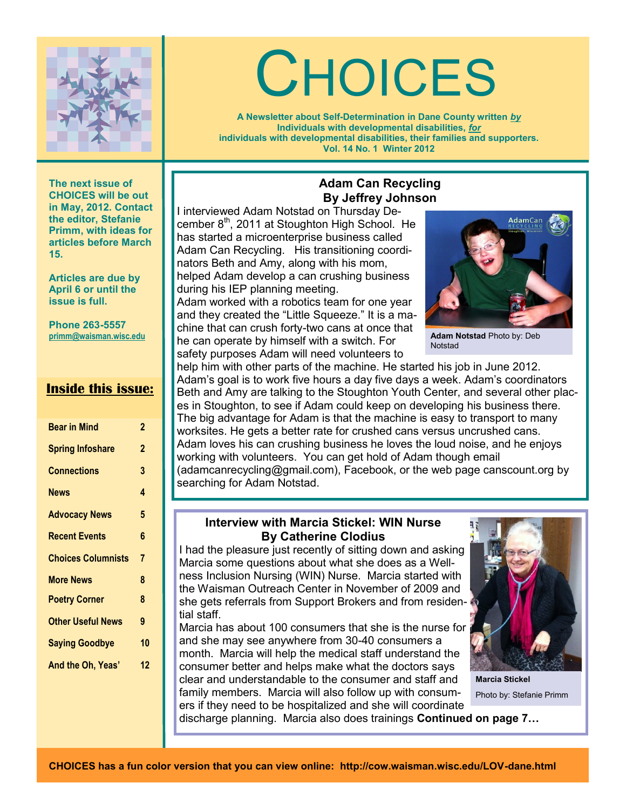

# **CHOICES**

**A Newsletter about Self-Determination in Dane County written** *by* **Individuals with developmental disabilities,** *for* **individuals with developmental disabilities, their families and supporters. Vol. 14 No. 1 Winter 2012**

**The next issue of CHOICES will be out in May, 2012. Contact the editor, Stefanie Primm, with ideas for articles before March 15.** 

**Articles are due by April 6 or until the issue is full.**

**Phone 263-5557 primm@waisman.wisc.edu**

## **Inside this issue:**

| <b>Bear in Mind</b>       | 2              |
|---------------------------|----------------|
| <b>Spring Infoshare</b>   | $\mathbf 2$    |
| <b>Connections</b>        | 3              |
| <b>News</b>               | 4              |
| <b>Advocacy News</b>      | 5              |
| <b>Recent Events</b>      | 6              |
| <b>Choices Columnists</b> | $\overline{7}$ |
| <b>More News</b>          | 8              |
| <b>Poetry Corner</b>      | 8              |
| <b>Other Useful News</b>  | 9              |
| <b>Saying Goodbye</b>     | 10             |
| And the Oh, Yeas'         | 12             |
|                           |                |

## **Adam Can Recycling By Jeffrey Johnson**

I interviewed Adam Notstad on Thursday December  $8<sup>th</sup>$ , 2011 at Stoughton High School. He has started a microenterprise business called Adam Can Recycling. His transitioning coordinators Beth and Amy, along with his mom, helped Adam develop a can crushing business during his IEP planning meeting.

Adam worked with a robotics team for one year and they created the "Little Squeeze." It is a machine that can crush forty-two cans at once that he can operate by himself with a switch. For safety purposes Adam will need volunteers to



**Adam Notstad** Photo by: Deb **Notstad** 

help him with other parts of the machine. He started his job in June 2012. Adam's goal is to work five hours a day five days a week. Adam's coordinators Beth and Amy are talking to the Stoughton Youth Center, and several other places in Stoughton, to see if Adam could keep on developing his business there. The big advantage for Adam is that the machine is easy to transport to many worksites. He gets a better rate for crushed cans versus uncrushed cans. Adam loves his can crushing business he loves the loud noise, and he enjoys working with volunteers. You can get hold of Adam though email (adamcanrecycling@gmail.com), Facebook, or the web page canscount.org by searching for Adam Notstad.

#### **Interview with Marcia Stickel: WIN Nurse By Catherine Clodius**

I had the pleasure just recently of sitting down and asking Marcia some questions about what she does as a Wellness Inclusion Nursing (WIN) Nurse. Marcia started with the Waisman Outreach Center in November of 2009 and she gets referrals from Support Brokers and from residential staff.

Marcia has about 100 consumers that she is the nurse for and she may see anywhere from 30-40 consumers a month. Marcia will help the medical staff understand the consumer better and helps make what the doctors says clear and understandable to the consumer and staff and family members. Marcia will also follow up with consum-

ers if they need to be hospitalized and she will coordinate discharge planning. Marcia also does trainings **Continued on page 7…** 



**Marcia Stickel** Photo by: Stefanie Primm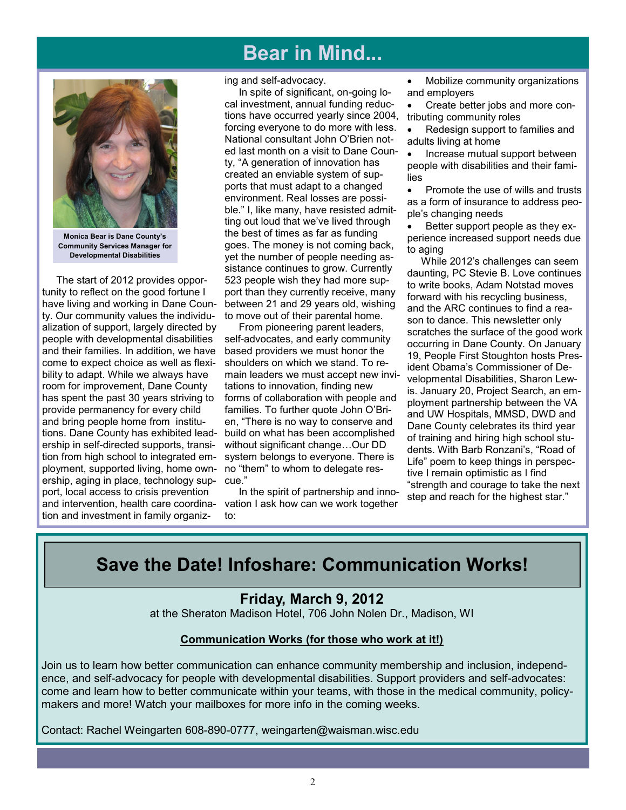# **Bear in Mind...**



**Monica Bear is Dane County's Community Services Manager for Developmental Disabilities**

 The start of 2012 provides opportunity to reflect on the good fortune I have living and working in Dane County. Our community values the individualization of support, largely directed by people with developmental disabilities and their families. In addition, we have come to expect choice as well as flexibility to adapt. While we always have room for improvement, Dane County has spent the past 30 years striving to provide permanency for every child and bring people home from institutions. Dane County has exhibited leadership in self-directed supports, transition from high school to integrated employment, supported living, home ownership, aging in place, technology support, local access to crisis prevention and intervention, health care coordination and investment in family organiz-

#### ing and self-advocacy.

 In spite of significant, on-going local investment, annual funding reductions have occurred yearly since 2004, forcing everyone to do more with less. National consultant John O'Brien noted last month on a visit to Dane County, "A generation of innovation has created an enviable system of supports that must adapt to a changed environment. Real losses are possible." I, like many, have resisted admitting out loud that we've lived through the best of times as far as funding goes. The money is not coming back, yet the number of people needing assistance continues to grow. Currently 523 people wish they had more support than they currently receive, many between 21 and 29 years old, wishing to move out of their parental home.

 From pioneering parent leaders, self-advocates, and early community based providers we must honor the shoulders on which we stand. To remain leaders we must accept new invitations to innovation, finding new forms of collaboration with people and families. To further quote John O'Brien, "There is no way to conserve and build on what has been accomplished without significant change…Our DD system belongs to everyone. There is no "them" to whom to delegate rescue."

 In the spirit of partnership and innovation I ask how can we work together to:

 Mobilize community organizations and employers

 Create better jobs and more contributing community roles

 Redesign support to families and adults living at home

 Increase mutual support between people with disabilities and their families

• Promote the use of wills and trusts as a form of insurance to address people's changing needs

 Better support people as they experience increased support needs due to aging

 While 2012's challenges can seem daunting, PC Stevie B. Love continues to write books, Adam Notstad moves forward with his recycling business, and the ARC continues to find a reason to dance. This newsletter only scratches the surface of the good work occurring in Dane County. On January 19, People First Stoughton hosts President Obama's Commissioner of Developmental Disabilities, Sharon Lewis. January 20, Project Search, an employment partnership between the VA and UW Hospitals, MMSD, DWD and Dane County celebrates its third year of training and hiring high school students. With Barb Ronzani's, "Road of Life" poem to keep things in perspective I remain optimistic as I find "strength and courage to take the next step and reach for the highest star."

# **Save the Date! Infoshare: Communication Works!**

## **Friday, March 9, 2012**

at the Sheraton Madison Hotel, 706 John Nolen Dr., Madison, WI

#### **Communication Works (for those who work at it!)**

Join us to learn how better communication can enhance community membership and inclusion, independence, and self-advocacy for people with developmental disabilities. Support providers and self-advocates: come and learn how to better communicate within your teams, with those in the medical community, policymakers and more! Watch your mailboxes for more info in the coming weeks.

Contact: Rachel Weingarten 608-890-0777, weingarten@waisman.wisc.edu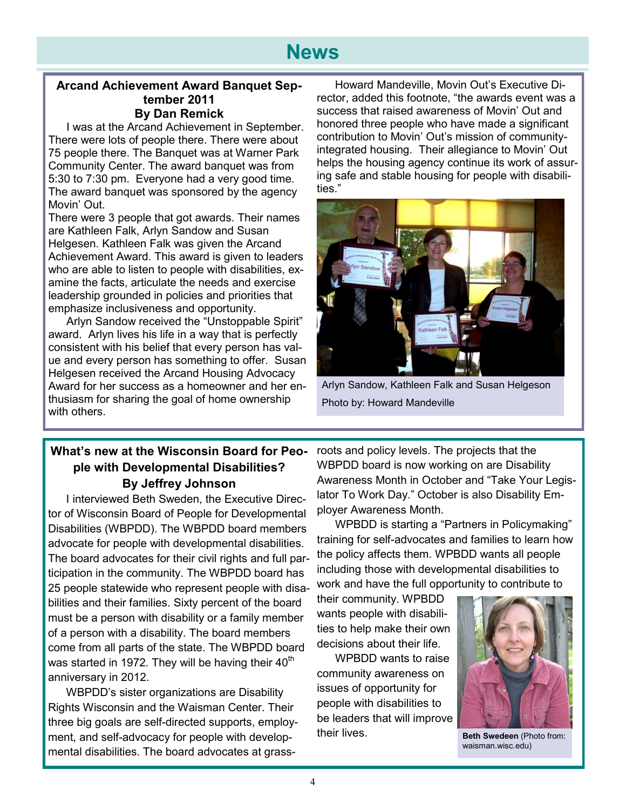#### **Arcand Achievement Award Banquet September 2011 By Dan Remick**

I was at the Arcand Achievement in September. There were lots of people there. There were about 75 people there. The Banquet was at Warner Park Community Center. The award banquet was from 5:30 to 7:30 pm. Everyone had a very good time. The award banquet was sponsored by the agency Movin' Out.

There were 3 people that got awards. Their names are Kathleen Falk, Arlyn Sandow and Susan Helgesen. Kathleen Falk was given the Arcand Achievement Award. This award is given to leaders who are able to listen to people with disabilities, examine the facts, articulate the needs and exercise leadership grounded in policies and priorities that emphasize inclusiveness and opportunity.

Arlyn Sandow received the "Unstoppable Spirit" award. Arlyn lives his life in a way that is perfectly consistent with his belief that every person has value and every person has something to offer. Susan Helgesen received the Arcand Housing Advocacy Award for her success as a homeowner and her enthusiasm for sharing the goal of home ownership with others.

Howard Mandeville, Movin Out's Executive Director, added this footnote, "the awards event was a success that raised awareness of Movin' Out and honored three people who have made a significant contribution to Movin' Out's mission of communityintegrated housing. Their allegiance to Movin' Out helps the housing agency continue its work of assuring safe and stable housing for people with disabilities."



Arlyn Sandow, Kathleen Falk and Susan Helgeson Photo by: Howard Mandeville

## **What's new at the Wisconsin Board for People with Developmental Disabilities? By Jeffrey Johnson**

I interviewed Beth Sweden, the Executive Director of Wisconsin Board of People for Developmental Disabilities (WBPDD). The WBPDD board members advocate for people with developmental disabilities. The board advocates for their civil rights and full participation in the community. The WBPDD board has 25 people statewide who represent people with disabilities and their families. Sixty percent of the board must be a person with disability or a family member of a person with a disability. The board members come from all parts of the state. The WBPDD board was started in 1972. They will be having their  $40<sup>th</sup>$ anniversary in 2012.

WBPDD's sister organizations are Disability Rights Wisconsin and the Waisman Center. Their three big goals are self-directed supports, employment, and self-advocacy for people with developmental disabilities. The board advocates at grassroots and policy levels. The projects that the WBPDD board is now working on are Disability Awareness Month in October and "Take Your Legislator To Work Day." October is also Disability Employer Awareness Month.

WPBDD is starting a "Partners in Policymaking" training for self-advocates and families to learn how the policy affects them. WPBDD wants all people including those with developmental disabilities to work and have the full opportunity to contribute to

their community. WPBDD wants people with disabilities to help make their own decisions about their life.

WPBDD wants to raise community awareness on issues of opportunity for people with disabilities to be leaders that will improve their lives.



**Beth Swedeen** (Photo from: waisman.wisc.edu)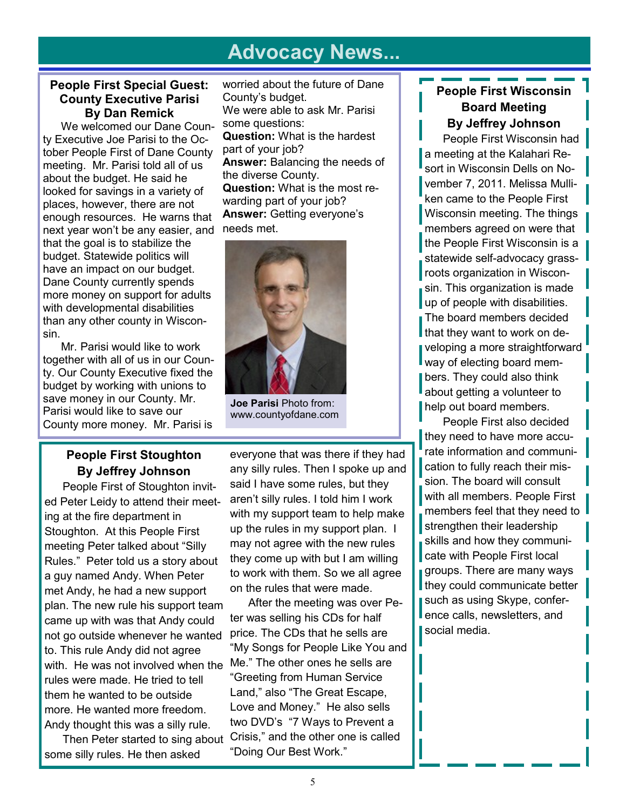# **Advocacy News...**

#### **People First Special Guest: County Executive Parisi By Dan Remick**

We welcomed our Dane County Executive Joe Parisi to the October People First of Dane County meeting. Mr. Parisi told all of us about the budget. He said he looked for savings in a variety of places, however, there are not enough resources. He warns that next year won't be any easier, and that the goal is to stabilize the budget. Statewide politics will have an impact on our budget. Dane County currently spends more money on support for adults with developmental disabilities than any other county in Wisconsin.

Mr. Parisi would like to work together with all of us in our County. Our County Executive fixed the budget by working with unions to save money in our County. Mr. Parisi would like to save our County more money. Mr. Parisi is

worried about the future of Dane County's budget. We were able to ask Mr. Parisi some questions: **Question:** What is the hardest part of your job? **Answer:** Balancing the needs of the diverse County. **Question:** What is the most rewarding part of your job? **Answer:** Getting everyone's needs met.



**Joe Parisi** Photo from: www.countyofdane.com

# **People First Stoughton By Jeffrey Johnson**

People First of Stoughton invited Peter Leidy to attend their meeting at the fire department in Stoughton. At this People First meeting Peter talked about "Silly Rules." Peter told us a story about a guy named Andy. When Peter met Andy, he had a new support plan. The new rule his support team came up with was that Andy could not go outside whenever he wanted to. This rule Andy did not agree with. He was not involved when the rules were made. He tried to tell them he wanted to be outside more. He wanted more freedom. Andy thought this was a silly rule.

Then Peter started to sing about some silly rules. He then asked

everyone that was there if they had any silly rules. Then I spoke up and said I have some rules, but they aren't silly rules. I told him I work with my support team to help make up the rules in my support plan. I may not agree with the new rules they come up with but I am willing to work with them. So we all agree on the rules that were made.

After the meeting was over Peter was selling his CDs for half price. The CDs that he sells are "My Songs for People Like You and Me." The other ones he sells are "Greeting from Human Service Land," also "The Great Escape, Love and Money." He also sells two DVD's "7 Ways to Prevent a Crisis," and the other one is called "Doing Our Best Work."

# **People First Wisconsin Board Meeting By Jeffrey Johnson**

People First Wisconsin had a meeting at the Kalahari Resort in Wisconsin Dells on November 7, 2011. Melissa Mulliken came to the People First Wisconsin meeting. The things members agreed on were that the People First Wisconsin is a statewide self-advocacy grassroots organization in Wisconsin. This organization is made up of people with disabilities. The board members decided that they want to work on developing a more straightforward way of electing board members. They could also think about getting a volunteer to help out board members.

People First also decided they need to have more accurate information and communication to fully reach their mission. The board will consult with all members. People First members feel that they need to strengthen their leadership skills and how they communicate with People First local groups. There are many ways they could communicate better such as using Skype, conference calls, newsletters, and social media.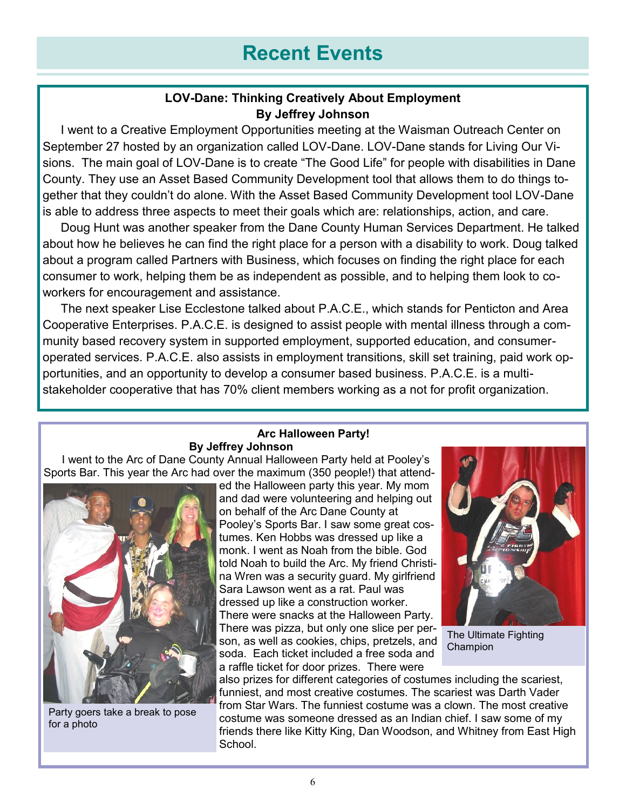# **Recent Events**

## **LOV-Dane: Thinking Creatively About Employment By Jeffrey Johnson**

I went to a Creative Employment Opportunities meeting at the Waisman Outreach Center on September 27 hosted by an organization called LOV-Dane. LOV-Dane stands for Living Our Visions. The main goal of LOV-Dane is to create "The Good Life" for people with disabilities in Dane County. They use an Asset Based Community Development tool that allows them to do things together that they couldn't do alone. With the Asset Based Community Development tool LOV-Dane is able to address three aspects to meet their goals which are: relationships, action, and care.

Doug Hunt was another speaker from the Dane County Human Services Department. He talked about how he believes he can find the right place for a person with a disability to work. Doug talked about a program called Partners with Business, which focuses on finding the right place for each consumer to work, helping them be as independent as possible, and to helping them look to coworkers for encouragement and assistance.

The next speaker Lise Ecclestone talked about P.A.C.E., which stands for Penticton and Area Cooperative Enterprises. P.A.C.E. is designed to assist people with mental illness through a community based recovery system in supported employment, supported education, and consumeroperated services. P.A.C.E. also assists in employment transitions, skill set training, paid work opportunities, and an opportunity to develop a consumer based business. P.A.C.E. is a multistakeholder cooperative that has 70% client members working as a not for profit organization.

#### **Arc Halloween Party! By Jeffrey Johnson**

I went to the Arc of Dane County Annual Halloween Party held at Pooley's Sports Bar. This year the Arc had over the maximum (350 people!) that attend-



Party goers take a break to pose for a photo

ed the Halloween party this year. My mom and dad were volunteering and helping out on behalf of the Arc Dane County at Pooley's Sports Bar. I saw some great costumes. Ken Hobbs was dressed up like a monk. I went as Noah from the bible. God told Noah to build the Arc. My friend Christina Wren was a security guard. My girlfriend Sara Lawson went as a rat. Paul was dressed up like a construction worker. There were snacks at the Halloween Party. There was pizza, but only one slice per person, as well as cookies, chips, pretzels, and soda. Each ticket included a free soda and a raffle ticket for door prizes. There were



The Ultimate Fighting Champion

also prizes for different categories of costumes including the scariest, funniest, and most creative costumes. The scariest was Darth Vader from Star Wars. The funniest costume was a clown. The most creative costume was someone dressed as an Indian chief. I saw some of my friends there like Kitty King, Dan Woodson, and Whitney from East High School.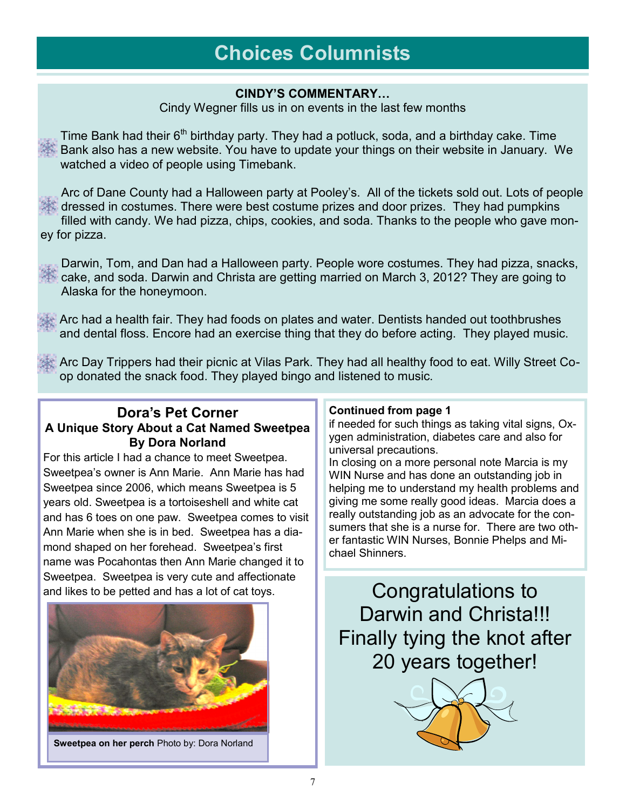# **Choices Columnists**

#### **CINDY'S COMMENTARY…**

Cindy Wegner fills us in on events in the last few months

Time Bank had their  $6<sup>th</sup>$  birthday party. They had a potluck, soda, and a birthday cake. Time Bank also has a new website. You have to update your things on their website in January. We watched a video of people using Timebank.

Arc of Dane County had a Halloween party at Pooley's. All of the tickets sold out. Lots of people dressed in costumes. There were best costume prizes and door prizes. They had pumpkins filled with candy. We had pizza, chips, cookies, and soda. Thanks to the people who gave money for pizza.

Darwin, Tom, and Dan had a Halloween party. People wore costumes. They had pizza, snacks, cake, and soda. Darwin and Christa are getting married on March 3, 2012? They are going to Alaska for the honeymoon.

Arc had a health fair. They had foods on plates and water. Dentists handed out toothbrushes and dental floss. Encore had an exercise thing that they do before acting. They played music.

Arc Day Trippers had their picnic at Vilas Park. They had all healthy food to eat. Willy Street Coop donated the snack food. They played bingo and listened to music.

## **Dora's Pet Corner A Unique Story About a Cat Named Sweetpea By Dora Norland**

For this article I had a chance to meet Sweetpea. Sweetpea's owner is Ann Marie. Ann Marie has had Sweetpea since 2006, which means Sweetpea is 5 years old. Sweetpea is a tortoiseshell and white cat and has 6 toes on one paw. Sweetpea comes to visit Ann Marie when she is in bed. Sweetpea has a diamond shaped on her forehead. Sweetpea's first name was Pocahontas then Ann Marie changed it to Sweetpea. Sweetpea is very cute and affectionate and likes to be petted and has a lot of cat toys.



#### **Continued from page 1**

if needed for such things as taking vital signs, Oxygen administration, diabetes care and also for universal precautions.

In closing on a more personal note Marcia is my WIN Nurse and has done an outstanding job in helping me to understand my health problems and giving me some really good ideas. Marcia does a really outstanding job as an advocate for the consumers that she is a nurse for. There are two other fantastic WIN Nurses, Bonnie Phelps and Michael Shinners.

Congratulations to Darwin and Christa!!! Finally tying the knot after 20 years together!

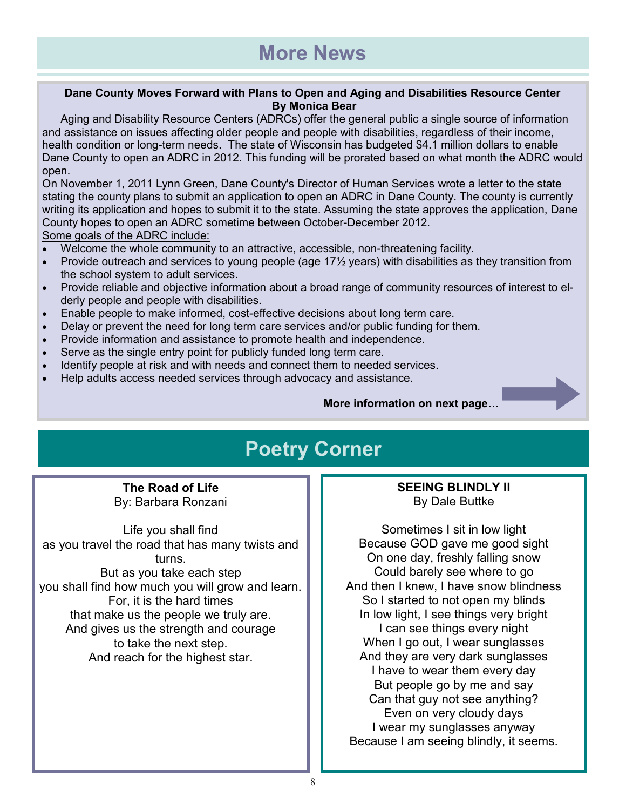#### **Dane County Moves Forward with Plans to Open and Aging and Disabilities Resource Center By Monica Bear**

Aging and Disability Resource Centers (ADRCs) offer the general public a single source of information and assistance on issues affecting older people and people with disabilities, regardless of their income, health condition or long-term needs. The state of Wisconsin has budgeted \$4.1 million dollars to enable Dane County to open an ADRC in 2012. This funding will be prorated based on what month the ADRC would open.

On November 1, 2011 Lynn Green, Dane County's Director of Human Services wrote a letter to the state stating the county plans to submit an application to open an ADRC in Dane County. The county is currently writing its application and hopes to submit it to the state. Assuming the state approves the application, Dane County hopes to open an ADRC sometime between October-December 2012. Some goals of the ADRC include:

- Welcome the whole community to an attractive, accessible, non-threatening facility.
- Provide outreach and services to young people (age 17½ years) with disabilities as they transition from the school system to adult services.
- Provide reliable and objective information about a broad range of community resources of interest to elderly people and people with disabilities.
- Enable people to make informed, cost-effective decisions about long term care.
- Delay or prevent the need for long term care services and/or public funding for them.
- Provide information and assistance to promote health and independence.
- Serve as the single entry point for publicly funded long term care.
- Identify people at risk and with needs and connect them to needed services.
- Help adults access needed services through advocacy and assistance.

**More information on next page…** 

# **Poetry Corner**

**The Road of Life** By: Barbara Ronzani

Life you shall find as you travel the road that has many twists and turns. But as you take each step you shall find how much you will grow and learn. For, it is the hard times that make us the people we truly are. And gives us the strength and courage to take the next step. And reach for the highest star.

**SEEING BLINDLY II** By Dale Buttke

Sometimes I sit in low light Because GOD gave me good sight On one day, freshly falling snow Could barely see where to go And then I knew, I have snow blindness So I started to not open my blinds In low light, I see things very bright I can see things every night When I go out, I wear sunglasses And they are very dark sunglasses I have to wear them every day But people go by me and say Can that guy not see anything? Even on very cloudy days I wear my sunglasses anyway Because I am seeing blindly, it seems.